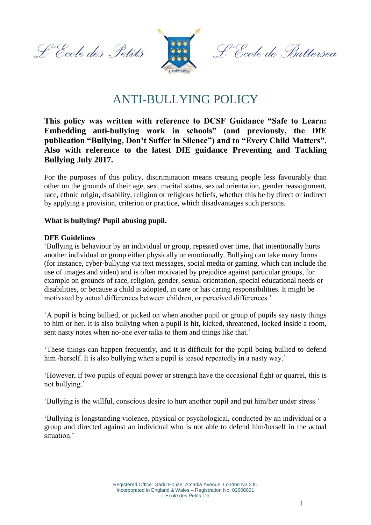L'Ecole des Petits



L'École de Battersea

# ANTI-BULLYING POLICY

### **This policy was written with reference to DCSF Guidance "Safe to Learn: Embedding anti-bullying work in schools" (and previously, the DfE publication "Bullying, Don't Suffer in Silence") and to "Every Child Matters". Also with reference to the latest DfE guidance Preventing and Tackling Bullying July 2017.**

For the purposes of this policy, discrimination means treating people less favourably than other on the grounds of their age, sex, marital status, sexual orientation, gender reassignment, race, ethnic origin, disability, religion or religious beliefs, whether this be by direct or indirect by applying a provision, criterion or practice, which disadvantages such persons.

#### **What is bullying? Pupil abusing pupil.**

#### **DFE Guidelines**

'Bullying is behaviour by an individual or group, repeated over time, that intentionally hurts another individual or group either physically or emotionally. Bullying can take many forms (for instance, cyber-bullying via text messages, social media or gaming, which can include the use of images and video) and is often motivated by prejudice against particular groups, for example on grounds of race, religion, gender, sexual orientation, special educational needs or disabilities, or because a child is adopted, in care or has caring responsibilities. It might be motivated by actual differences between children, or perceived differences.'

'A pupil is being bullied, or picked on when another pupil or group of pupils say nasty things to him or her. It is also bullying when a pupil is hit, kicked, threatened, locked inside a room, sent nasty notes when no-one ever talks to them and things like that.'

'These things can happen frequently, and it is difficult for the pupil being bullied to defend him /herself. It is also bullying when a pupil is teased repeatedly in a nasty way.'

'However, if two pupils of equal power or strength have the occasional fight or quarrel, this is not bullying.'

'Bullying is the willful, conscious desire to hurt another pupil and put him/her under stress.'

'Bullying is longstanding violence, physical or psychological, conducted by an individual or a group and directed against an individual who is not able to defend him/herself in the actual situation.'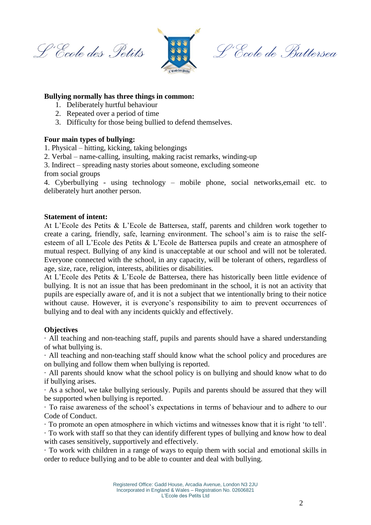L'Ecole des Petits



L'Ecole de Battersea

#### **Bullying normally has three things in common:**

- 1. Deliberately hurtful behaviour
- 2. Repeated over a period of time
- 3. Difficulty for those being bullied to defend themselves.

#### **Four main types of bullying:**

1. Physical – hitting, kicking, taking belongings

- 2. Verbal name-calling, insulting, making racist remarks, winding-up
- 3. Indirect spreading nasty stories about someone, excluding someone

from social groups

4. Cyberbullying - using technology – mobile phone, social networks,email etc. to deliberately hurt another person.

#### **Statement of intent:**

At L'Ecole des Petits & L'Ecole de Battersea, staff, parents and children work together to create a caring, friendly, safe, learning environment. The school's aim is to raise the selfesteem of all L'Ecole des Petits & L'Ecole de Battersea pupils and create an atmosphere of mutual respect. Bullying of any kind is unacceptable at our school and will not be tolerated. Everyone connected with the school, in any capacity, will be tolerant of others, regardless of age, size, race, religion, interests, abilities or disabilities.

At L'Ecole des Petits & L'Ecole de Battersea, there has historically been little evidence of bullying. It is not an issue that has been predominant in the school, it is not an activity that pupils are especially aware of, and it is not a subject that we intentionally bring to their notice without cause. However, it is everyone's responsibility to aim to prevent occurrences of bullying and to deal with any incidents quickly and effectively.

#### **Objectives**

· All teaching and non-teaching staff, pupils and parents should have a shared understanding of what bullying is.

· All teaching and non-teaching staff should know what the school policy and procedures are on bullying and follow them when bullying is reported.

· All parents should know what the school policy is on bullying and should know what to do if bullying arises.

· As a school, we take bullying seriously. Pupils and parents should be assured that they will be supported when bullying is reported.

· To raise awareness of the school's expectations in terms of behaviour and to adhere to our Code of Conduct.

· To promote an open atmosphere in which victims and witnesses know that it is right 'to tell'.

· To work with staff so that they can identify different types of bullying and know how to deal with cases sensitively, supportively and effectively.

· To work with children in a range of ways to equip them with social and emotional skills in order to reduce bullying and to be able to counter and deal with bullying.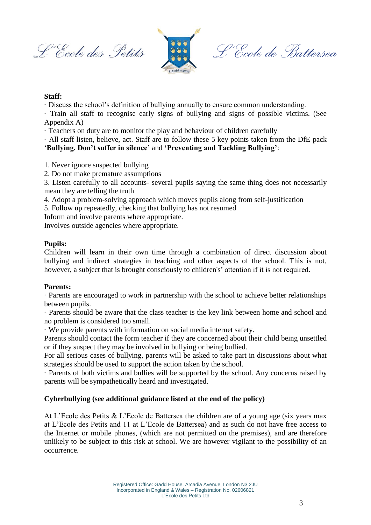L'Ecole des Petits



L'Ecole de Battersea

#### **Staff:**

· Discuss the school's definition of bullying annually to ensure common understanding.

· Train all staff to recognise early signs of bullying and signs of possible victims. (See Appendix A)

· Teachers on duty are to monitor the play and behaviour of children carefully

· All staff listen, believe, act. Staff are to follow these 5 key points taken from the DfE pack '**Bullying. Don't suffer in silence'** and **'Preventing and Tackling Bullying'**:

- 1. Never ignore suspected bullying
- 2. Do not make premature assumptions

3. Listen carefully to all accounts- several pupils saying the same thing does not necessarily mean they are telling the truth

4. Adopt a problem-solving approach which moves pupils along from self-justification

5. Follow up repeatedly, checking that bullying has not resumed

Inform and involve parents where appropriate.

Involves outside agencies where appropriate.

#### **Pupils:**

Children will learn in their own time through a combination of direct discussion about bullying and indirect strategies in teaching and other aspects of the school. This is not, however, a subject that is brought consciously to children's' attention if it is not required.

#### **Parents:**

· Parents are encouraged to work in partnership with the school to achieve better relationships between pupils.

· Parents should be aware that the class teacher is the key link between home and school and no problem is considered too small.

· We provide parents with information on social media internet safety.

Parents should contact the form teacher if they are concerned about their child being unsettled or if they suspect they may be involved in bullying or being bullied.

For all serious cases of bullying, parents will be asked to take part in discussions about what strategies should be used to support the action taken by the school.

· Parents of both victims and bullies will be supported by the school. Any concerns raised by parents will be sympathetically heard and investigated.

#### **Cyberbullying (see additional guidance listed at the end of the policy)**

At L'Ecole des Petits & L'Ecole de Battersea the children are of a young age (six years max at L'Ecole des Petits and 11 at L'Ecole de Battersea) and as such do not have free access to the Internet or mobile phones, (which are not permitted on the premises), and are therefore unlikely to be subject to this risk at school. We are however vigilant to the possibility of an occurrence.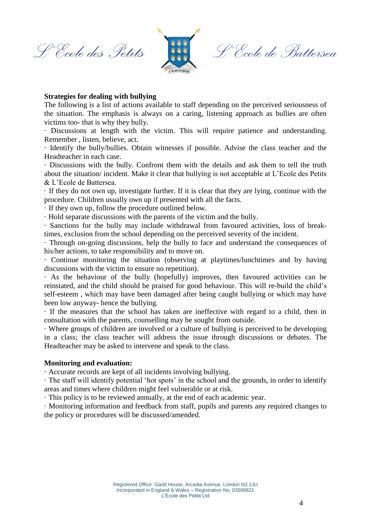L'Ecole des Petits



L'École de Battersea

#### **Strategies for dealing with bullying**

The following is a list of actions available to staff depending on the perceived seriousness of the situation. The emphasis is always on a caring, listening approach as bullies are often victims too- that is why they bully.

· Discussions at length with the victim. This will require patience and understanding. Remember , listen, believe, act.

· Identify the bully/bullies. Obtain witnesses if possible. Advise the class teacher and the Headteacher in each case.

· Discussions with the bully. Confront them with the details and ask them to tell the truth about the situation/ incident. Make it clear that bullying is not acceptable at L'Ecole des Petits & L'Ecole de Battersea.

· If they do not own up, investigate further. If it is clear that they are lying, continue with the procedure. Children usually own up if presented with all the facts.

· If they own up, follow the procedure outlined below.

· Hold separate discussions with the parents of the victim and the bully.

· Sanctions for the bully may include withdrawal from favoured activities, loss of breaktimes, exclusion from the school depending on the perceived severity of the incident.

· Through on-going discussions, help the bully to face and understand the consequences of his/her actions, to take responsibility and to move on.

· Continue monitoring the situation (observing at playtimes/lunchtimes and by having discussions with the victim to ensure no repetition).

· As the behaviour of the bully (hopefully) improves, then favoured activities can be reinstated, and the child should be praised for good behaviour. This will re-build the child's self-esteem , which may have been damaged after being caught bullying or which may have been low anyway- hence the bullying.

· If the measures that the school has taken are ineffective with regard to a child, then in consultation with the parents, counselling may be sought from outside.

· Where groups of children are involved or a culture of bullying is perceived to be developing in a class; the class teacher will address the issue through discussions or debates. The Headteacher may be asked to intervene and speak to the class.

#### **Monitoring and evaluation:**

· Accurate records are kept of all incidents involving bullying.

· The staff will identify potential 'hot spots' in the school and the grounds, in order to identify areas and times where children might feel vulnerable or at risk.

· This policy is to be reviewed annually, at the end of each academic year.

· Monitoring information and feedback from staff, pupils and parents any required changes to the policy or procedures will be discussed/amended.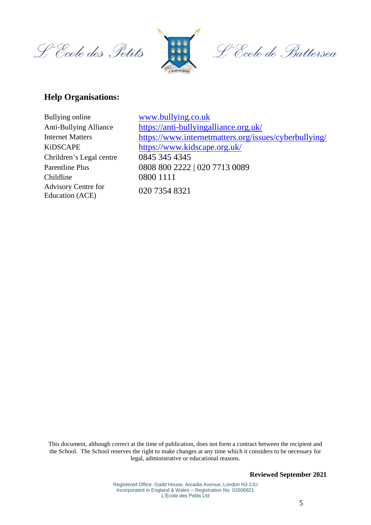L'Ecole des Petits



L'École de Battersea

## **Help Organisations:**

| <b>Internet Matters</b><br><b>KiDSCAPE</b><br>Education (ACE) | Bullying online               |
|---------------------------------------------------------------|-------------------------------|
|                                                               | <b>Anti-Bullying Alliance</b> |
|                                                               |                               |
|                                                               |                               |
|                                                               | Chrildren's Legal centre      |
|                                                               | <b>Parentline Plus</b>        |
|                                                               | Childline                     |
|                                                               | <b>Advisory Centre for</b>    |
|                                                               |                               |

[www.bullying.co.uk](http://www.bullying.co.uk/) <https://anti-bullyingalliance.org.uk/> <https://www.internetmatters.org/issues/cyberbullying/> <https://www.kidscape.org.uk/> 0845 345 4345 0808 800 2222 | 020 7713 0089 0800 1111 020 7354 8321

This document, although correct at the time of publication, does not form a contract between the recipient and the School. The School reserves the right to make changes at any time which it considers to be necessary for legal, administrative or educational reasons.

**Reviewed September 2021**

Registered Office: Gadd House, Arcadia Avenue, London N3 2JU Incorporated in England & Wales – Registration No. 02606821 L'Ecole des Petits Ltd